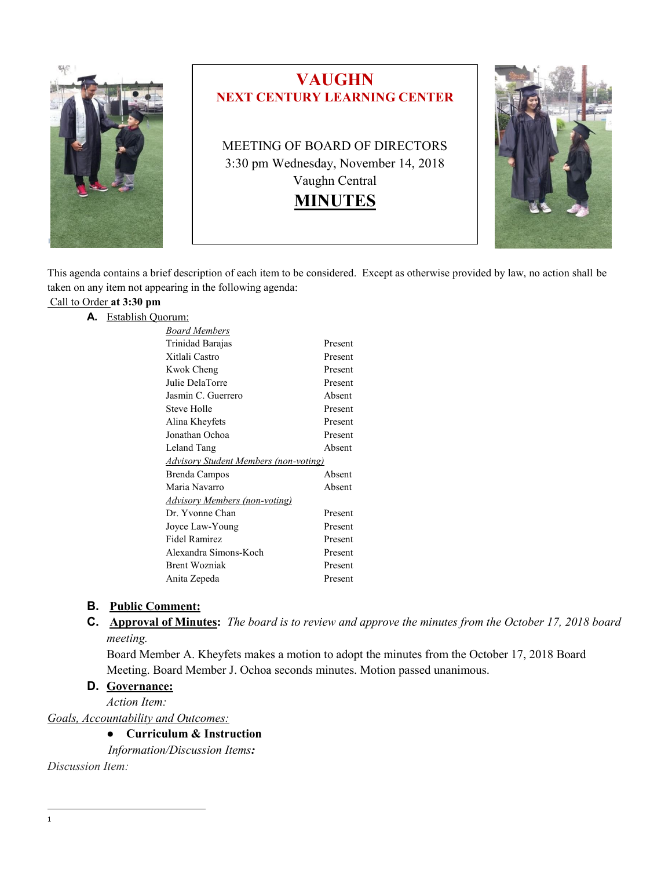

This agenda contains a brief description of each item to be considered. Except as otherwise provided by law, no action shall be taken on any item not appearing in the following agenda:

# Call to Order **at 3:30 pm**

| Establish Ouorum:<br>А. |  |
|-------------------------|--|
|-------------------------|--|

| Board Members                         |         |  |
|---------------------------------------|---------|--|
| Trinidad Barajas                      | Present |  |
| Xitlali Castro                        | Present |  |
| Kwok Cheng                            | Present |  |
| Julie DelaTorre                       | Present |  |
| Jasmin C. Guerrero                    | Absent  |  |
| Steve Holle                           | Present |  |
| Alina Kheyfets                        | Present |  |
| Jonathan Ochoa                        | Present |  |
| Leland Tang                           | Absent  |  |
| Advisory Student Members (non-voting) |         |  |
| Brenda Campos                         | Absent  |  |
| Maria Navarro                         | Absent  |  |
| <b>Advisory Members (non-voting)</b>  |         |  |
| Dr. Yvonne Chan                       | Present |  |
| Joyce Law-Young                       | Present |  |
| <b>Fidel Ramirez</b>                  | Present |  |
| Alexandra Simons-Koch                 | Present |  |
| <b>Brent Wozniak</b>                  | Present |  |
| Anita Zepeda                          | Present |  |
|                                       |         |  |

#### **B. Public Comment:**

**C. Approval of Minutes:** *The board is to review and approve the minutes from the October 17, 2018 board meeting.*

Board Member A. Kheyfets makes a motion to adopt the minutes from the October 17, 2018 Board Meeting. Board Member J. Ochoa seconds minutes. Motion passed unanimous.

#### **D. Governance:**

*Action Item:*

*Goals, Accountability and Outcomes:*

### ● **Curriculum & Instruction**

*Information/Discussion Items:*

*Discussion Item:*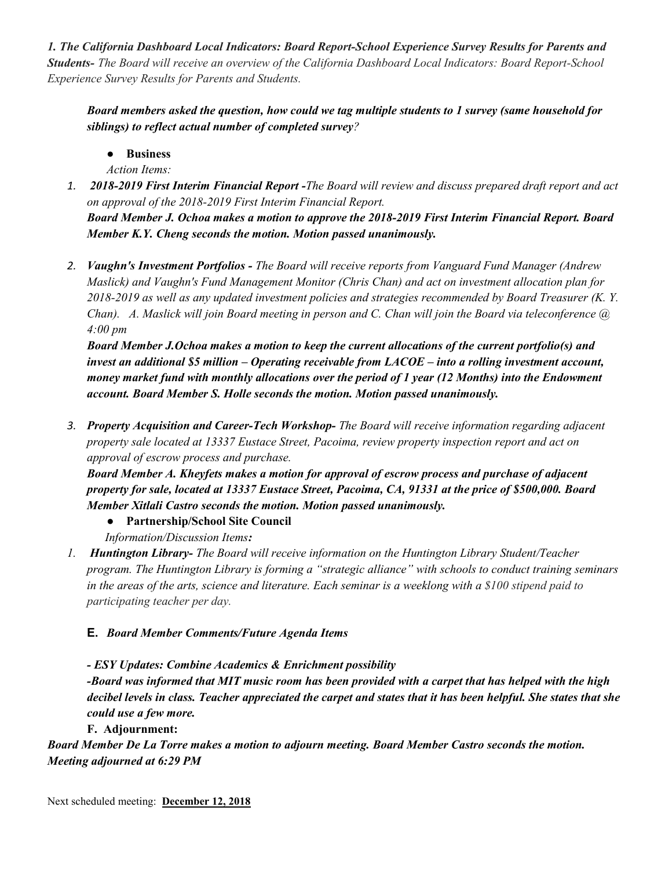*1. The California Dashboard Local Indicators: Board Report-School Experience Survey Results for Parents and Students- The Board will receive an overview of the California Dashboard Local Indicators: Board Report-School Experience Survey Results for Parents and Students.* 

*Board members asked the question, how could we tag multiple students to 1 survey (same household for siblings) to reflect actual number of completed survey?*

● **Business**

*Action Items:*

*1. 2018-2019 First Interim Financial Report -The Board will review and discuss prepared draft report and act on approval of the 2018-2019 First Interim Financial Report.*

*Board Member J. Ochoa makes a motion to approve the 2018-2019 First Interim Financial Report. Board Member K.Y. Cheng seconds the motion. Motion passed unanimously.*

*2. Vaughn's Investment Portfolios - The Board will receive reports from Vanguard Fund Manager (Andrew Maslick) and Vaughn's Fund Management Monitor (Chris Chan) and act on investment allocation plan for 2018-2019 as well as any updated investment policies and strategies recommended by Board Treasurer (K. Y. Chan). A. Maslick will join Board meeting in person and C. Chan will join the Board via teleconference @ 4:00 pm*

*Board Member J.Ochoa makes a motion to keep the current allocations of the current portfolio(s) and invest an additional \$5 million – Operating receivable from LACOE – into a rolling investment account, money market fund with monthly allocations over the period of 1 year (12 Months) into the Endowment account. Board Member S. Holle seconds the motion. Motion passed unanimously.*

*3. Property Acquisition and Career-Tech Workshop- The Board will receive information regarding adjacent property sale located at 13337 Eustace Street, Pacoima, review property inspection report and act on approval of escrow process and purchase.*

*Board Member A. Kheyfets makes a motion for approval of escrow process and purchase of adjacent property for sale, located at 13337 Eustace Street, Pacoima, CA, 91331 at the price of \$500,000. Board Member Xitlali Castro seconds the motion. Motion passed unanimously.*

- **Partnership/School Site Council**
- *Information/Discussion Items:*

*1. Huntington Library- The Board will receive information on the Huntington Library Student/Teacher program. The Huntington Library is forming a "strategic alliance" with schools to conduct training seminars in the areas of the arts, science and literature. Each seminar is a weeklong with a \$100 stipend paid to participating teacher per day.*

## **E.** *Board Member Comments/Future Agenda Items*

*- ESY Updates: Combine Academics & Enrichment possibility*

*-Board was informed that MIT music room has been provided with a carpet that has helped with the high decibel levels in class. Teacher appreciated the carpet and states that it has been helpful. She states that she could use a few more.*

## **F. Adjournment:**

*Board Member De La Torre makes a motion to adjourn meeting. Board Member Castro seconds the motion. Meeting adjourned at 6:29 PM*